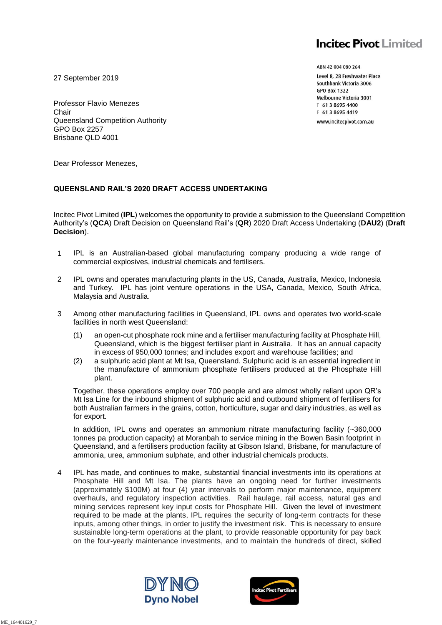# **Incitec Pivot Limited**

27 September 2019

Professor Flavio Menezes Chair Queensland Competition Authority GPO Box 2257 Brisbane QLD 4001

ABN 42 004 080 264 Level 8, 28 Freshwater Place Southbank Victoria 3006 **GPO Box 1322** Melbourne Victoria 3001 ⊺ 61 3 8695 4400 F 61 3 8695 4419 www.incitecpivot.com.au

Dear Professor Menezes,

#### **QUEENSLAND RAIL'S 2020 DRAFT ACCESS UNDERTAKING**

Incitec Pivot Limited (**IPL**) welcomes the opportunity to provide a submission to the Queensland Competition Authority's (**QCA**) Draft Decision on Queensland Rail's (**QR**) 2020 Draft Access Undertaking (**DAU2**) (**Draft Decision**).

- 1 IPL is an Australian-based global manufacturing company producing a wide range of commercial explosives, industrial chemicals and fertilisers.
- 2 IPL owns and operates manufacturing plants in the US, Canada, Australia, Mexico, Indonesia and Turkey. IPL has joint venture operations in the USA, Canada, Mexico, South Africa, Malaysia and Australia.
- 3 Among other manufacturing facilities in Queensland, IPL owns and operates two world-scale facilities in north west Queensland:
	- (1) an open-cut phosphate rock mine and a fertiliser manufacturing facility at Phosphate Hill, Queensland, which is the biggest fertiliser plant in Australia. It has an annual capacity in excess of 950,000 tonnes; and includes export and warehouse facilities; and
	- (2) a sulphuric acid plant at Mt Isa, Queensland. Sulphuric acid is an essential ingredient in the manufacture of ammonium phosphate fertilisers produced at the Phosphate Hill plant.

Together, these operations employ over 700 people and are almost wholly reliant upon QR's Mt Isa Line for the inbound shipment of sulphuric acid and outbound shipment of fertilisers for both Australian farmers in the grains, cotton, horticulture, sugar and dairy industries, as well as for export.

In addition, IPL owns and operates an ammonium nitrate manufacturing facility (~360,000 tonnes pa production capacity) at Moranbah to service mining in the Bowen Basin footprint in Queensland, and a fertilisers production facility at Gibson Island, Brisbane, for manufacture of ammonia, urea, ammonium sulphate, and other industrial chemicals products.

4 IPL has made, and continues to make, substantial financial investments into its operations at Phosphate Hill and Mt Isa. The plants have an ongoing need for further investments (approximately \$100M) at four (4) year intervals to perform major maintenance, equipment overhauls, and regulatory inspection activities. Rail haulage, rail access, natural gas and mining services represent key input costs for Phosphate Hill. Given the level of investment required to be made at the plants, IPL requires the security of long-term contracts for these inputs, among other things, in order to justify the investment risk. This is necessary to ensure sustainable long-term operations at the plant, to provide reasonable opportunity for pay back on the four-yearly maintenance investments, and to maintain the hundreds of direct, skilled



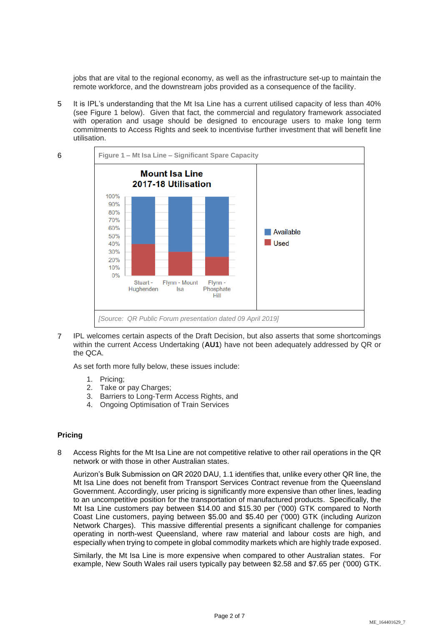jobs that are vital to the regional economy, as well as the infrastructure set-up to maintain the remote workforce, and the downstream jobs provided as a consequence of the facility.

5 It is IPL's understanding that the Mt Isa Line has a current utilised capacity of less than 40% (see Figure 1 below). Given that fact, the commercial and regulatory framework associated with operation and usage should be designed to encourage users to make long term commitments to Access Rights and seek to incentivise further investment that will benefit line utilisation.





7 IPL welcomes certain aspects of the Draft Decision, but also asserts that some shortcomings within the current Access Undertaking (**AU1**) have not been adequately addressed by QR or the QCA.

As set forth more fully below, these issues include:

- 1. Pricing;
- 2. Take or pay Charges;
- 3. Barriers to Long-Term Access Rights, and
- 4. Ongoing Optimisation of Train Services

# **Pricing**

8 Access Rights for the Mt Isa Line are not competitive relative to other rail operations in the QR network or with those in other Australian states.

Aurizon's Bulk Submission on QR 2020 DAU, 1.1 identifies that, unlike every other QR line, the Mt Isa Line does not benefit from Transport Services Contract revenue from the Queensland Government. Accordingly, user pricing is significantly more expensive than other lines, leading to an uncompetitive position for the transportation of manufactured products. Specifically, the Mt Isa Line customers pay between \$14.00 and \$15.30 per ('000) GTK compared to North Coast Line customers, paying between \$5.00 and \$5.40 per ('000) GTK (including Aurizon Network Charges). This massive differential presents a significant challenge for companies operating in north-west Queensland, where raw material and labour costs are high, and especially when trying to compete in global commodity markets which are highly trade exposed.

Similarly, the Mt Isa Line is more expensive when compared to other Australian states. For example, New South Wales rail users typically pay between \$2.58 and \$7.65 per ('000) GTK.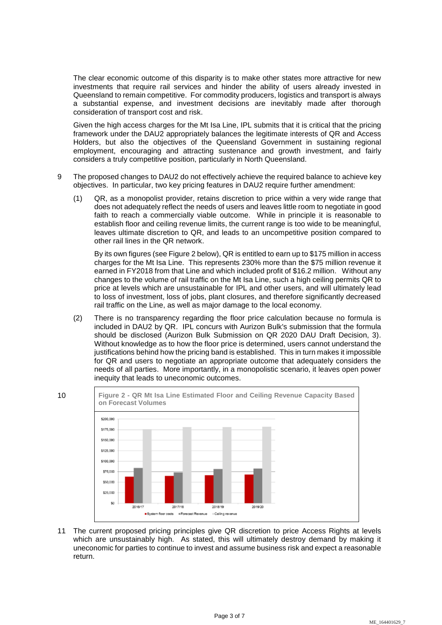The clear economic outcome of this disparity is to make other states more attractive for new investments that require rail services and hinder the ability of users already invested in Queensland to remain competitive. For commodity producers, logistics and transport is always a substantial expense, and investment decisions are inevitably made after thorough consideration of transport cost and risk.

Given the high access charges for the Mt Isa Line, IPL submits that it is critical that the pricing framework under the DAU2 appropriately balances the legitimate interests of QR and Access Holders, but also the objectives of the Queensland Government in sustaining regional employment, encouraging and attracting sustenance and growth investment, and fairly considers a truly competitive position, particularly in North Queensland.

- 9 The proposed changes to DAU2 do not effectively achieve the required balance to achieve key objectives. In particular, two key pricing features in DAU2 require further amendment:
	- (1) QR, as a monopolist provider, retains discretion to price within a very wide range that does not adequately reflect the needs of users and leaves little room to negotiate in good faith to reach a commercially viable outcome. While in principle it is reasonable to establish floor and ceiling revenue limits, the current range is too wide to be meaningful, leaves ultimate discretion to QR, and leads to an uncompetitive position compared to other rail lines in the QR network.

By its own figures (see Figure 2 below), QR is entitled to earn up to \$175 million in access charges for the Mt Isa Line. This represents 230% more than the \$75 million revenue it earned in FY2018 from that Line and which included profit of \$16.2 million. Without any changes to the volume of rail traffic on the Mt Isa Line, such a high ceiling permits QR to price at levels which are unsustainable for IPL and other users, and will ultimately lead to loss of investment, loss of jobs, plant closures, and therefore significantly decreased rail traffic on the Line, as well as major damage to the local economy.

(2) There is no transparency regarding the floor price calculation because no formula is included in DAU2 by QR. IPL concurs with Aurizon Bulk's submission that the formula should be disclosed (Aurizon Bulk Submission on QR 2020 DAU Draft Decision, 3). Without knowledge as to how the floor price is determined, users cannot understand the justifications behind how the pricing band is established. This in turn makes it impossible for QR and users to negotiate an appropriate outcome that adequately considers the needs of all parties. More importantly, in a monopolistic scenario, it leaves open power inequity that leads to uneconomic outcomes.



11 The current proposed pricing principles give QR discretion to price Access Rights at levels which are unsustainably high. As stated, this will ultimately destroy demand by making it uneconomic for parties to continue to invest and assume business risk and expect a reasonable return.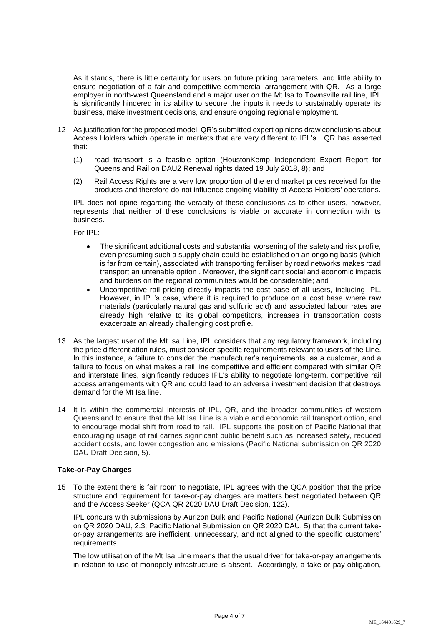As it stands, there is little certainty for users on future pricing parameters, and little ability to ensure negotiation of a fair and competitive commercial arrangement with QR. As a large employer in north-west Queensland and a major user on the Mt Isa to Townsville rail line, IPL is significantly hindered in its ability to secure the inputs it needs to sustainably operate its business, make investment decisions, and ensure ongoing regional employment.

- 12 As justification for the proposed model, QR's submitted expert opinions draw conclusions about Access Holders which operate in markets that are very different to IPL's. QR has asserted that:
	- (1) road transport is a feasible option (HoustonKemp Independent Expert Report for Queensland Rail on DAU2 Renewal rights dated 19 July 2018, 8); and
	- (2) Rail Access Rights are a very low proportion of the end market prices received for the products and therefore do not influence ongoing viability of Access Holders' operations.

IPL does not opine regarding the veracity of these conclusions as to other users, however, represents that neither of these conclusions is viable or accurate in connection with its business.

For IPL:

- The significant additional costs and substantial worsening of the safety and risk profile, even presuming such a supply chain could be established on an ongoing basis (which is far from certain), associated with transporting fertiliser by road networks makes road transport an untenable option . Moreover, the significant social and economic impacts and burdens on the regional communities would be considerable; and
- Uncompetitive rail pricing directly impacts the cost base of all users, including IPL. However, in IPL's case, where it is required to produce on a cost base where raw materials (particularly natural gas and sulfuric acid) and associated labour rates are already high relative to its global competitors, increases in transportation costs exacerbate an already challenging cost profile.
- 13 As the largest user of the Mt Isa Line, IPL considers that any regulatory framework, including the price differentiation rules, must consider specific requirements relevant to users of the Line. In this instance, a failure to consider the manufacturer's requirements, as a customer, and a failure to focus on what makes a rail line competitive and efficient compared with similar QR and interstate lines, significantly reduces IPL's ability to negotiate long-term, competitive rail access arrangements with QR and could lead to an adverse investment decision that destroys demand for the Mt Isa line.
- 14 It is within the commercial interests of IPL, QR, and the broader communities of western Queensland to ensure that the Mt Isa Line is a viable and economic rail transport option, and to encourage modal shift from road to rail. IPL supports the position of Pacific National that encouraging usage of rail carries significant public benefit such as increased safety, reduced accident costs, and lower congestion and emissions (Pacific National submission on QR 2020 DAU Draft Decision, 5).

#### **Take-or-Pay Charges**

15 To the extent there is fair room to negotiate, IPL agrees with the QCA position that the price structure and requirement for take-or-pay charges are matters best negotiated between QR and the Access Seeker (QCA QR 2020 DAU Draft Decision, 122).

IPL concurs with submissions by Aurizon Bulk and Pacific National (Aurizon Bulk Submission on QR 2020 DAU, 2.3; Pacific National Submission on QR 2020 DAU, 5) that the current takeor-pay arrangements are inefficient, unnecessary, and not aligned to the specific customers' requirements.

The low utilisation of the Mt Isa Line means that the usual driver for take-or-pay arrangements in relation to use of monopoly infrastructure is absent. Accordingly, a take-or-pay obligation,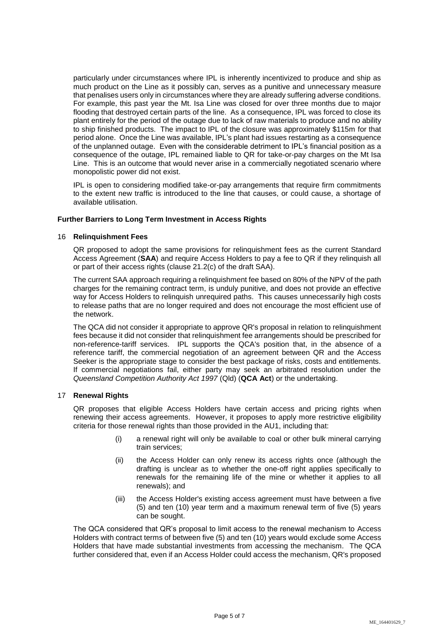particularly under circumstances where IPL is inherently incentivized to produce and ship as much product on the Line as it possibly can, serves as a punitive and unnecessary measure that penalises users only in circumstances where they are already suffering adverse conditions. For example, this past year the Mt. Isa Line was closed for over three months due to major flooding that destroyed certain parts of the line. As a consequence, IPL was forced to close its plant entirely for the period of the outage due to lack of raw materials to produce and no ability to ship finished products. The impact to IPL of the closure was approximately \$115m for that period alone. Once the Line was available, IPL's plant had issues restarting as a consequence of the unplanned outage. Even with the considerable detriment to IPL's financial position as a consequence of the outage, IPL remained liable to QR for take-or-pay charges on the Mt Isa Line. This is an outcome that would never arise in a commercially negotiated scenario where monopolistic power did not exist.

IPL is open to considering modified take-or-pay arrangements that require firm commitments to the extent new traffic is introduced to the line that causes, or could cause, a shortage of available utilisation.

## **Further Barriers to Long Term Investment in Access Rights**

#### 16 **Relinquishment Fees**

QR proposed to adopt the same provisions for relinquishment fees as the current Standard Access Agreement (**SAA**) and require Access Holders to pay a fee to QR if they relinquish all or part of their access rights (clause 21.2(c) of the draft SAA).

The current SAA approach requiring a relinquishment fee based on 80% of the NPV of the path charges for the remaining contract term, is unduly punitive, and does not provide an effective way for Access Holders to relinquish unrequired paths. This causes unnecessarily high costs to release paths that are no longer required and does not encourage the most efficient use of the network.

The QCA did not consider it appropriate to approve QR's proposal in relation to relinquishment fees because it did not consider that relinquishment fee arrangements should be prescribed for non-reference-tariff services. IPL supports the QCA's position that, in the absence of a reference tariff, the commercial negotiation of an agreement between QR and the Access Seeker is the appropriate stage to consider the best package of risks, costs and entitlements. If commercial negotiations fail, either party may seek an arbitrated resolution under the *Queensland Competition Authority Act 1997* (Qld) (**QCA Act**) or the undertaking.

# 17 **Renewal Rights**

QR proposes that eligible Access Holders have certain access and pricing rights when renewing their access agreements. However, it proposes to apply more restrictive eligibility criteria for those renewal rights than those provided in the AU1, including that:

- (i) a renewal right will only be available to coal or other bulk mineral carrying train services;
- (ii) the Access Holder can only renew its access rights once (although the drafting is unclear as to whether the one-off right applies specifically to renewals for the remaining life of the mine or whether it applies to all renewals); and
- (iii) the Access Holder's existing access agreement must have between a five (5) and ten (10) year term and a maximum renewal term of five (5) years can be sought.

The QCA considered that QR's proposal to limit access to the renewal mechanism to Access Holders with contract terms of between five (5) and ten (10) years would exclude some Access Holders that have made substantial investments from accessing the mechanism. The QCA further considered that, even if an Access Holder could access the mechanism, QR's proposed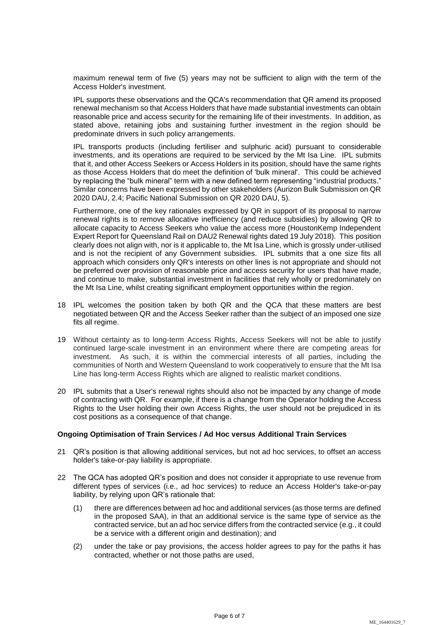maximum renewal term of five (5) years may not be sufficient to align with the term of the Access Holder's investment.

IPL supports these observations and the QCA's recommendation that QR amend its proposed renewal mechanism so that Access Holders that have made substantial investments can obtain reasonable price and access security for the remaining life of their investments. In addition, as stated above, retaining jobs and sustaining further investment in the region should be predominate drivers in such policy arrangements.

IPL transports products (including fertiliser and sulphuric acid) pursuant to considerable investments, and its operations are required to be serviced by the Mt Isa Line. IPL submits that it, and other Access Seekers or Access Holders in its position, should have the same rights as those Access Holders that do meet the definition of 'bulk mineral'. This could be achieved by replacing the "bulk mineral" term with a new defined term representing "industrial products." Similar concerns have been expressed by other stakeholders (Aurizon Bulk Submission on QR 2020 DAU, 2.4; Pacific National Submission on QR 2020 DAU, 5).

Furthermore, one of the key rationales expressed by QR in support of its proposal to narrow renewal rights is to remove allocative inefficiency (and reduce subsidies) by allowing QR to allocate capacity to Access Seekers who value the access more (HoustonKemp Independent Expert Report for Queensland Rail on DAU2 Renewal rights dated 19 July 2018). This position clearly does not align with, nor is it applicable to, the Mt Isa Line, which is grossly under-utilised and is not the recipient of any Government subsidies. IPL submits that a one size fits all approach which considers only QR's interests on other lines is not appropriate and should not be preferred over provision of reasonable price and access security for users that have made, and continue to make, substantial investment in facilities that rely wholly or predominately on the Mt Isa Line, whilst creating significant employment opportunities within the region.

- 18 IPL welcomes the position taken by both QR and the QCA that these matters are best negotiated between QR and the Access Seeker rather than the subject of an imposed one size fits all regime.
- 19 Without certainty as to long-term Access Rights, Access Seekers will not be able to justify continued large-scale investment in an environment where there are competing areas for investment. As such, it is within the commercial interests of all parties, including the communities of North and Western Queensland to work cooperatively to ensure that the Mt Isa Line has long-term Access Rights which are aligned to realistic market conditions.
- 20 IPL submits that a User's renewal rights should also not be impacted by any change of mode of contracting with QR. For example, if there is a change from the Operator holding the Access Rights to the User holding their own Access Rights, the user should not be prejudiced in its cost positions as a consequence of that change.

## **Ongoing Optimisation of Train Services / Ad Hoc versus Additional Train Services**

- 21 QR's position is that allowing additional services, but not ad hoc services, to offset an access holder's take-or-pay liability is appropriate.
- 22 The QCA has adopted QR's position and does not consider it appropriate to use revenue from different types of services (i.e., ad hoc services) to reduce an Access Holder's take-or-pay liability, by relying upon QR's rationale that:
	- (1) there are differences between ad hoc and additional services (as those terms are defined in the proposed SAA), in that an additional service is the same type of service as the contracted service, but an ad hoc service differs from the contracted service (e.g., it could be a service with a different origin and destination); and
	- (2) under the take or pay provisions, the access holder agrees to pay for the paths it has contracted, whether or not those paths are used,